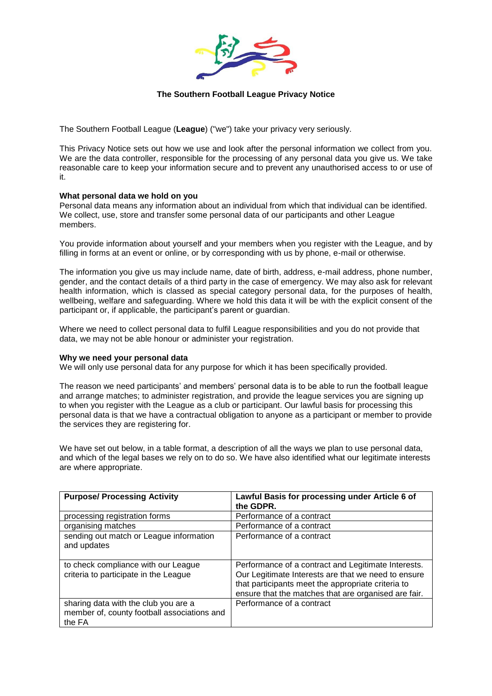

# **The Southern Football League Privacy Notice**

The Southern Football League (**League**) ("we") take your privacy very seriously.

This Privacy Notice sets out how we use and look after the personal information we collect from you. We are the data controller, responsible for the processing of any personal data you give us. We take reasonable care to keep your information secure and to prevent any unauthorised access to or use of it.

### **What personal data we hold on you**

Personal data means any information about an individual from which that individual can be identified. We collect, use, store and transfer some personal data of our participants and other League members.

You provide information about yourself and your members when you register with the League, and by filling in forms at an event or online, or by corresponding with us by phone, e-mail or otherwise.

The information you give us may include name, date of birth, address, e-mail address, phone number, gender, and the contact details of a third party in the case of emergency. We may also ask for relevant health information, which is classed as special category personal data, for the purposes of health, wellbeing, welfare and safeguarding. Where we hold this data it will be with the explicit consent of the participant or, if applicable, the participant's parent or guardian.

Where we need to collect personal data to fulfil League responsibilities and you do not provide that data, we may not be able honour or administer your registration.

### **Why we need your personal data**

We will only use personal data for any purpose for which it has been specifically provided.

The reason we need participants' and members' personal data is to be able to run the football league and arrange matches; to administer registration, and provide the league services you are signing up to when you register with the League as a club or participant. Our lawful basis for processing this personal data is that we have a contractual obligation to anyone as a participant or member to provide the services they are registering for.

We have set out below, in a table format, a description of all the ways we plan to use personal data, and which of the legal bases we rely on to do so. We have also identified what our legitimate interests are where appropriate.

| <b>Purpose/ Processing Activity</b>                                                           | Lawful Basis for processing under Article 6 of<br>the GDPR.                                                                                                                                                              |
|-----------------------------------------------------------------------------------------------|--------------------------------------------------------------------------------------------------------------------------------------------------------------------------------------------------------------------------|
| processing registration forms                                                                 | Performance of a contract                                                                                                                                                                                                |
| organising matches                                                                            | Performance of a contract                                                                                                                                                                                                |
| sending out match or League information<br>and updates                                        | Performance of a contract                                                                                                                                                                                                |
| to check compliance with our League<br>criteria to participate in the League                  | Performance of a contract and Legitimate Interests.<br>Our Legitimate Interests are that we need to ensure<br>that participants meet the appropriate criteria to<br>ensure that the matches that are organised are fair. |
| sharing data with the club you are a<br>member of, county football associations and<br>the FA | Performance of a contract                                                                                                                                                                                                |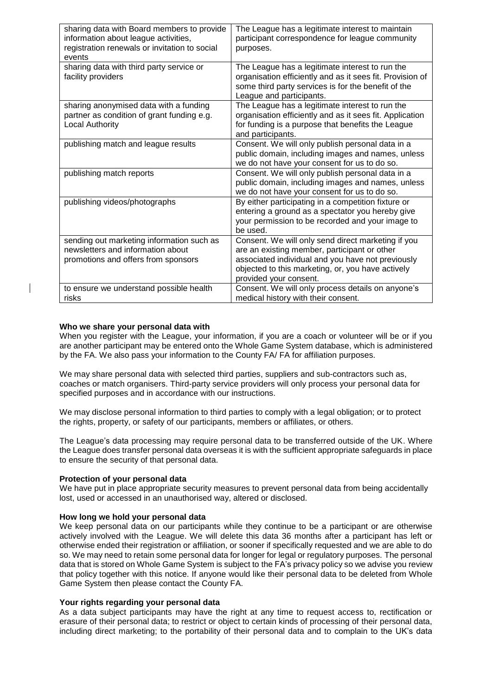| sharing data with Board members to provide<br>information about league activities,<br>registration renewals or invitation to social<br>events | The League has a legitimate interest to maintain<br>participant correspondence for league community<br>purposes.                                                                                                                       |
|-----------------------------------------------------------------------------------------------------------------------------------------------|----------------------------------------------------------------------------------------------------------------------------------------------------------------------------------------------------------------------------------------|
| sharing data with third party service or<br>facility providers                                                                                | The League has a legitimate interest to run the<br>organisation efficiently and as it sees fit. Provision of<br>some third party services is for the benefit of the<br>League and participants.                                        |
| sharing anonymised data with a funding<br>partner as condition of grant funding e.g.<br><b>Local Authority</b>                                | The League has a legitimate interest to run the<br>organisation efficiently and as it sees fit. Application<br>for funding is a purpose that benefits the League<br>and participants.                                                  |
| publishing match and league results                                                                                                           | Consent. We will only publish personal data in a<br>public domain, including images and names, unless<br>we do not have your consent for us to do so.                                                                                  |
| publishing match reports                                                                                                                      | Consent. We will only publish personal data in a<br>public domain, including images and names, unless<br>we do not have your consent for us to do so.                                                                                  |
| publishing videos/photographs                                                                                                                 | By either participating in a competition fixture or<br>entering a ground as a spectator you hereby give<br>your permission to be recorded and your image to<br>be used.                                                                |
| sending out marketing information such as<br>newsletters and information about<br>promotions and offers from sponsors                         | Consent. We will only send direct marketing if you<br>are an existing member, participant or other<br>associated individual and you have not previously<br>objected to this marketing, or, you have actively<br>provided your consent. |
| to ensure we understand possible health<br>risks                                                                                              | Consent. We will only process details on anyone's<br>medical history with their consent.                                                                                                                                               |

## **Who we share your personal data with**

When you register with the League, your information, if you are a coach or volunteer will be or if you are another participant may be entered onto the Whole Game System database, which is administered by the FA. We also pass your information to the County FA/ FA for affiliation purposes.

We may share personal data with selected third parties, suppliers and sub-contractors such as, coaches or match organisers. Third-party service providers will only process your personal data for specified purposes and in accordance with our instructions.

We may disclose personal information to third parties to comply with a legal obligation; or to protect the rights, property, or safety of our participants, members or affiliates, or others.

The League's data processing may require personal data to be transferred outside of the UK. Where the League does transfer personal data overseas it is with the sufficient appropriate safeguards in place to ensure the security of that personal data.

### **Protection of your personal data**

We have put in place appropriate security measures to prevent personal data from being accidentally lost, used or accessed in an unauthorised way, altered or disclosed.

### **How long we hold your personal data**

We keep personal data on our participants while they continue to be a participant or are otherwise actively involved with the League. We will delete this data 36 months after a participant has left or otherwise ended their registration or affiliation, or sooner if specifically requested and we are able to do so. We may need to retain some personal data for longer for legal or regulatory purposes. The personal data that is stored on Whole Game System is subject to the FA's privacy policy so we advise you review that policy together with this notice. If anyone would like their personal data to be deleted from Whole Game System then please contact the County FA.

### **Your rights regarding your personal data**

As a data subject participants may have the right at any time to request access to, rectification or erasure of their personal data; to restrict or object to certain kinds of processing of their personal data, including direct marketing; to the portability of their personal data and to complain to the UK's data